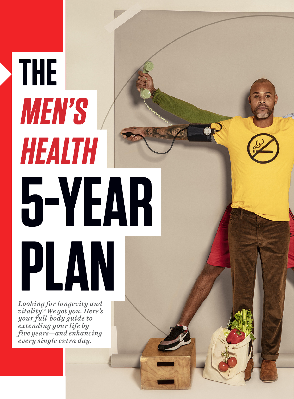### *Looking for longevity and vitality? We got you. Here's your full-body guide to extending your life by five years—and enhancing every single extra day.*

**PLAN**

**THE**

**MEN'S**

**HEALTH**

**5YEAR**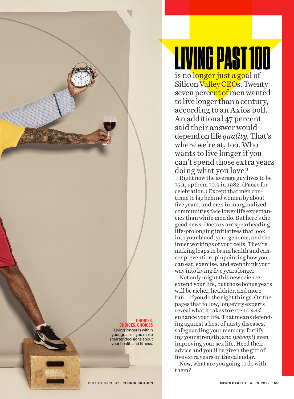#### **CHOICES, CHOICES, CHOICES** Living longer is within

your grasp, if you make smarter decisions about your health and fitness.

# LIVING PAST 100 is no longer just a goal of

Silicon Valley CEOs. Twentyseven percent of men wanted to live longer than a century, according to an Axios poll. An additional 47 percent said their answer would depend on life *quality.* That's where we're at, too. Who wants to live longer if you can't spend those extra years doing what you love?

Right now the average guy lives to be 75.1, up from 70.9 in 1982. (Pause for celebration.) Except that men continue to lag behind women by about five years, and men in marginalized communities face lower life expectancies than white men do. But here's the good news: Doctors are spearheading life-prolonging initiatives that look into your blood, your genome, and the inner workings of your cells. They're making leaps in brain health and cancer prevention, pinpointing how you can eat, exercise, and even think your way into living five years longer.

Not only might this new science extend your life, but those bonus years will be richer, healthier, and more fun—if you do the right things. On the pages that follow, longevity experts reveal what it takes to extend *and*  enhance your life. That means defending against a host of nasty diseases, safeguarding your memory, fortifying your strength, and (*whoop!*) even improving your sex life. Heed their advice and you'll be given the gift of five extra years on the calendar.

Now, what are you going to do with them?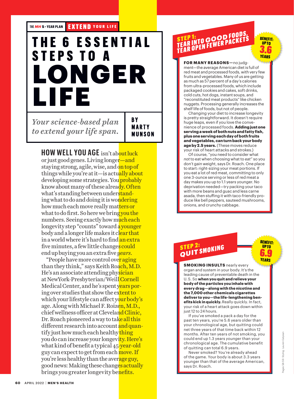**THE** *MH* **<sup>5</sup> YEAR PLAN** EXTEND YOUR LIFE

### **T H E 6 E S S E N T I A L STEPS TO A LONGER LIFE**

*Your science-based plan to extend your life span.*

B Y **MARTY** MUNSON

**HOW WELL YOU AGE** isn't about luck or just good genes. Living longer—and staying strong, agile, wise, and on top of things while you're at it—is actually about developing some strategies. You probably know about many of these already. Often what's standing between understanding what to do and doing it is wondering how much each move really matters or what to do first. So here we bring you the numbers. Seeing exactly how much each longevity step "counts" toward a younger body and a longer life makes it clear that in a world where it's hard to find an extra five minutes, a few little changes could end up buying you an extra five *years*.

"People have more control over aging than they think," says Keith Roach, M.D. He's an associate attending physician at NewYork-Presbyterian/Weill Cornell Medical Center, and he's spent years poring over studies that show the extent to which your lifestyle can affect your body's age. Along with Michael F. Roizen, M.D., chief wellness officer at Cleveland Clinic, Dr. Roach pioneered a way to take all this different research into account and quantify just how much each healthy thing you do can increase your longevity. Here's what kind of benefit a typical 45-year-old guy can expect to get from each move. If you're less healthy than the average guy, good news: Making these changes actually brings you greater longevity benefits.

# STEP 1:<br>TEAR INTO GOOD FOODS,<br>TEAR OPEN FEWER PACKETS

BENEFIT: UP TO 3.6 YEARS

**FOR MANY REASONS**-no judgment—the average American diet is full of red meat and processed foods, with very few fruits and vegetables. Many of us are getting as much as 57 percent of a day's calories from ultra-processed foods, which include packaged cookies and cakes, soft drinks, cold cuts, hot dogs, instant soups, and "reconstituted meat products" like chicken nuggets. Processing generally increases the shelf life of foods, but not of people.

Changing your diet to increase longevity is pretty straightforward. It doesn't require huge leaps, even if you love the convenience of processed foods. **Adding just one serving a week of both nuts and fatty ish, plus one serving each day of both fruits and vegetables, can turn back your body age by 2.5 years.** (These moves reduce your risk of heart attacks and strokes.)

Of course, "you need to consider what *not* to eat when choosing what to *eat*" so you don't gain weight, says Dr. Roach. One place to start: right-sizing your meat portions. If you eat a lot of red meat, committing to only one 3-ounce serving or less of red meat a day makes you up to 1.1 years younger. No deprivation needed—try packing your taco with more beans and guac and less carne asada, then stuffing it with taco-friendly produce like bell peppers, sauteed mushrooms, onions, and crunchy cabbage.

### STEP 2:<br>QUIT SMOKING

**SMOKING INSULTS** nearly every organ and system in your body. It's the leading cause of preventable death in the U.S. So **when you quit and relieve your body of the particles you inhale with every drag—along with the nicotine and the 7,000 other chemicals cigarettes deliver to you—the life-lengthening beneits kick in quickly.** Really quickly. In fact, your risk of a heart attack goes down within just 12 to 24 hours.

 If you've smoked a pack a day for the past ten years, you're 5.6 years older than your chronological age, but quitting could net three years of that time back within 12 months. After ten years of not smoking, you could end up 1.3 years *younger* than your chronological age. The cumulative benefit of quitting can total 6.9 years.

 Never smoked? You're already ahead of the game. Your body is about 3.3 years younger than that of the average American, says Dr. Roach.

BENEFIT: UP TO 6.9 **YEARS**